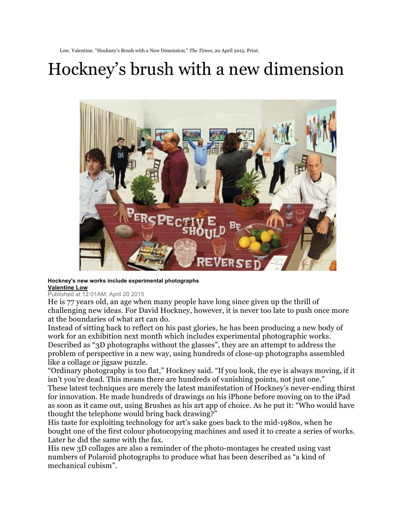Low, Valentine. "Hockney's Brush with a New Dimension." *The Times*, 20 April 2015. Print.

## Hockney's brush with a new dimension



## **Hockney's new works include experimental photographs Valentine Low**

## Published at 12:01AM, April 20 2015

He is 77 years old, an age when many people have long since given up the thrill of challenging new ideas. For David Hockney, however, it is never too late to push once more at the boundaries of what art can do.

Instead of sitting back to reflect on his past glories, he has been producing a new body of work for an exhibition next month which includes experimental photographic works. Described as "3D photographs without the glasses", they are an attempt to address the problem of perspective in a new way, using hundreds of close-up photographs assembled like a collage or jigsaw puzzle.

"Ordinary photography is too flat," Hockney said. "If you look, the eye is always moving, if it isn't you're dead. This means there are hundreds of vanishing points, not just one." These latest techniques are merely the latest manifestation of Hockney's never-ending thirst for innovation. He made hundreds of drawings on his iPhone before moving on to the iPad as soon as it came out, using Brushes as his art app of choice. As he put it: "Who would have thought the telephone would bring back drawing?"

His taste for exploiting technology for art's sake goes back to the mid-1980s, when he bought one of the first colour photocopying machines and used it to create a series of works. Later he did the same with the fax.

His new 3D collages are also a reminder of the photo-montages he created using vast numbers of Polaroid photographs to produce what has been described as "a kind of mechanical cubism".